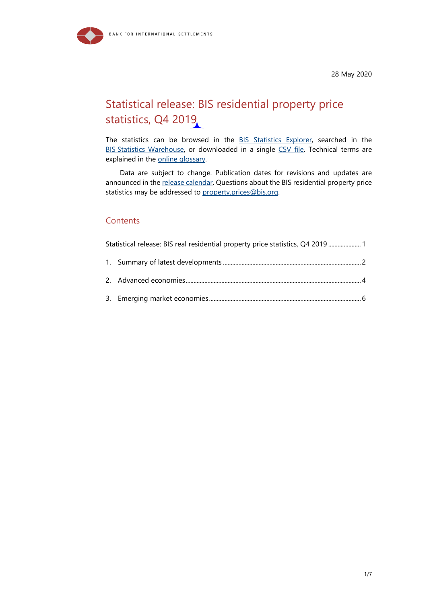

28 May 2020

# <span id="page-0-0"></span>Statistical release: BIS residential property price statistics, Q4 2019

The statistics can be browsed in the **BIS Statistics Explorer**, searched in the BIS [Statistics Warehouse,](https://stats.bis.org/?m=6%257C346%257C644#ppq=SPP_REAL_YOYCHG;pv=1%7E4%7E1,0,0%7Eboth) or downloaded in a single [CSV file.](https://www.bis.org/statistics/full_bis_selected_pp_csv.zip) Technical terms are explained in the [online glossary.](http://www.bis.org/statistics/glossary.htm)

Data are subject to change. Publication dates for revisions and updates are announced in the [release calendar.](http://www.bis.org/statistics/relcal.htm) Questions about the BIS residential property price statistics may be addressed to [property.prices@bis.org.](mailto:property.prices@bis.org?subject=property.prices@bis.org)

#### **Contents**

[Statistical release: BIS real residential property price statistics, Q4](#page-0-0) 2019 ..................... 1 1. Summary of latest developments [.........................................................................................](#page-1-0) 2 2. [Advanced economies.................................................................................................................](#page-3-0) 4

3. [Emerging market economies..................................................................................................](#page-5-0) 6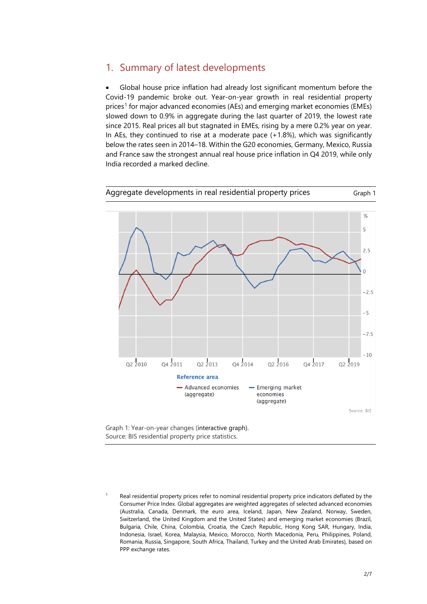### <span id="page-1-0"></span>1. Summary of latest developments

• Global house price inflation had already lost significant momentum before the Covid-19 pandemic broke out. Year-on-year growth in real residential property prices<sup>[1](#page-1-1)</sup> for major advanced economies (AEs) and emerging market economies (EMEs) slowed down to 0.9% in aggregate during the last quarter of 2019, the lowest rate since 2015. Real prices all but stagnated in EMEs, rising by a mere 0.2% year on year. In AEs, they continued to rise at a moderate pace (+1.8%), which was significantly below the rates seen in 2014–18. Within the G20 economies, Germany, Mexico, Russia and France saw the strongest annual real house price inflation in Q4 2019, while only India recorded a marked decline.





<span id="page-1-1"></span>Real residential property prices refer to nominal residential property price indicators deflated by the Consumer Price Index. Global aggregates are weighted aggregates of selected advanced economies (Australia, Canada, Denmark, the euro area, Iceland, Japan, New Zealand, Norway, Sweden, Switzerland, the United Kingdom and the United States) and emerging market economies (Brazil, Bulgaria, Chile, China, Colombia, Croatia, the Czech Republic, Hong Kong SAR, Hungary, India, Indonesia, Israel, Korea, Malaysia, Mexico, Morocco, North Macedonia, Peru, Philippines, Poland, Romania, Russia, Singapore, South Africa, Thailand, Turkey and the United Arab Emirates), based on PPP exchange rates.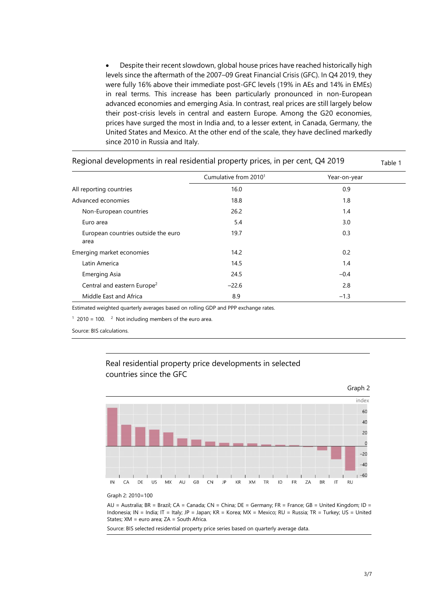• Despite their recent slowdown, global house prices have reached historically high levels since the aftermath of the 2007–09 Great Financial Crisis (GFC). In Q4 2019, they were fully 16% above their immediate post-GFC levels [\(19%](http://stats.bis.org/statx/srs/tseries/SPP/Q:5R:R:628?t=H2&p=20192&m=628&x=REF_AREA.1.CL_BIS_GL_REF_AREA.5R:4T&o=w:20093.20192,s:line,t:Reference%20area) in AEs and [14%](hhttp://stats.bis.org/statx/srs/tseries/SPP/Q:5R:R:628?t=H2&p=20192&m=628&x=REF_AREA.1.CL_BIS_GL_REF_AREA.5R:4T&o=w:20093.20192,s:line,t:Reference%20area) in EMEs) in real terms. This increase has been particularly pronounced in non-European advanced economies and emerging Asia. In contrast, real prices are still largely below their post-crisis levels in central and eastern Europe. Among the G20 economies, prices have surged the most in India and, to a lesser extent, in Canada, Germany, the United States and Mexico. At the other end of the scale, they have declined markedly since 2010 in Russia and Italy.

|                                             | Cumulative from 2010 <sup>1</sup> | Year-on-year |  |
|---------------------------------------------|-----------------------------------|--------------|--|
| All reporting countries                     | 16.0                              | 0.9          |  |
| Advanced economies                          | 18.8                              | 1.8          |  |
| Non-European countries                      | 26.2                              | 1.4          |  |
| Euro area                                   | 5.4                               | 3.0          |  |
| European countries outside the euro<br>area | 19.7                              | 0.3          |  |
| Emerging market economies                   | 14.2                              | 0.2          |  |
| Latin America                               | 14.5                              | 1.4          |  |
| <b>Emerging Asia</b>                        | 24.5                              | $-0.4$       |  |
| Central and eastern Europe <sup>2</sup>     | $-22.6$                           | 2.8          |  |
| Middle East and Africa                      | 8.9                               | $-1.3$       |  |

Regional developments in real residential property prices, in per cent,  $Q4\,2019$   $\qquad \qquad$ 

Estimated weighted quarterly averages based on rolling GDP and PPP exchange rates.

 $1$  2010 = 100.  $2$  Not including members of the euro area.

Source: BIS calculations.





Graph 2: 2010=100

AU = Australia; BR = Brazil; CA = Canada; CN = China; DE = Germany; FR = France; GB = United Kingdom; ID = Indonesia; IN = India; IT = Italy; JP = Japan; KR = Korea; MX = Mexico; RU = Russia; TR = Turkey; US = United States; XM = euro area; ZA = South Africa.

Source[: BIS selected residential property price series](http://www.bis.org/statistics/pp_selected.htm) based on quarterly average data.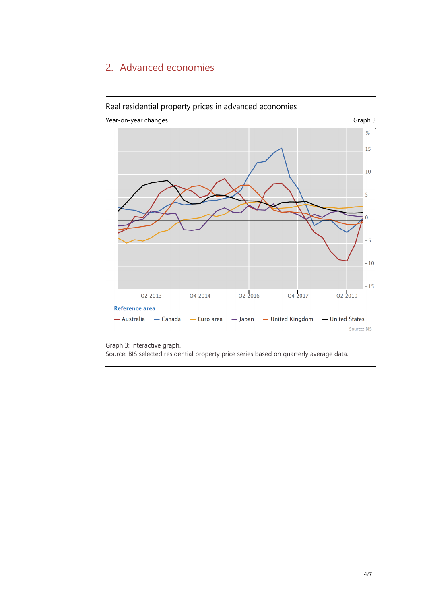### <span id="page-3-0"></span>2. Advanced economies



#### Real residential property prices in advanced economies

Graph 3: [interactive graph.](http://stats.bis.org/statx/srs/tseries/SPP/Q:AU:R:771?t=H2&p=20194&m=771&x=REF_AREA.1.CL_BIS_GL_REF_AREA.AU:CA:XM:JP:GB:US&o=w:20122.20194,s:line.nn,t:Reference%20area) 

Source: [BIS selected residential property price series](http://www.bis.org/statistics/pp_selected.htm) based on quarterly average data.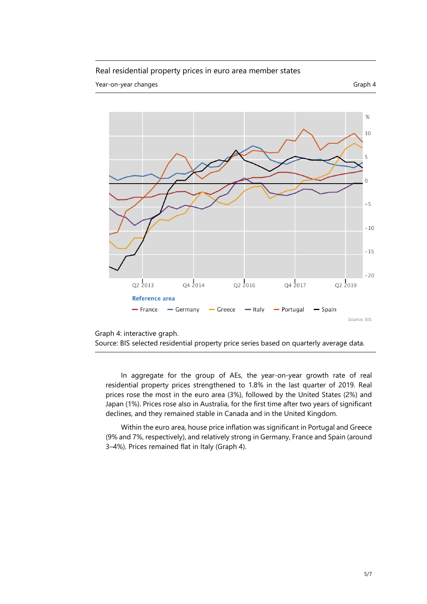#### Real residential property prices in euro area member states

Year-on-year changes Graph 4





[Graph 4:](http://stats.bis.org/statx/srs/tseries/SPP/Q:AU:R:628?t=H2&p=20183&x=REF_AREA.1.CL_BIS_GL_REF_AREA.AU:BR:CA:CN:XM:FR:DE:IN:ID:IT:JP:KR:MX:RU:ZA:TR:GB:US&o=w:last.1,s:col.nn,t:Reference%20area) [interactive graph.](http://stats.bis.org/statx/srs/tseries/SPP/Q:FR:R:771?t=H2&p=20194&m=771&x=REF_AREA.1.CL_BIS_GL_REF_AREA.FR:DE:GR:IT:PT:ES&o=w:20122.20194,s:line.nn,t:Reference%20area)

```
Source: BIS selected residential property price series based on quarterly average data.
```
In aggregate for the group of AEs, the year-on-year growth rate of real residential property prices strengthened to 1.8% in the last quarter of 2019. Real prices rose the most in the euro area (3%), followed by the United States (2%) and Japan (1%). Prices rose also in Australia, for the first time after two years of significant declines, and they remained stable in Canada and in the United Kingdom.

Within the euro area, house price inflation was significant in Portugal and Greece (9% and 7%, respectively), and relatively strong in Germany, France and Spain (around 3–4%). Prices remained flat in Italy (Graph 4).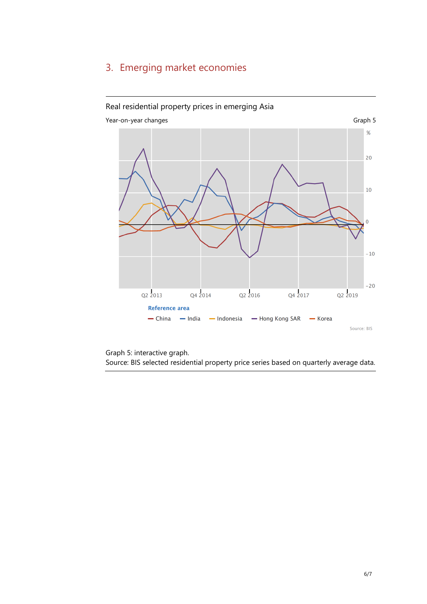## <span id="page-5-0"></span>3. Emerging market economies



[Graph 5:](http://stats.bis.org/statx/srs/tseries/SPP/Q:AU:R:628?t=H2&p=20183&x=REF_AREA.1.CL_BIS_GL_REF_AREA.AU:BR:CA:CN:XM:FR:DE:IN:ID:IT:JP:KR:MX:RU:ZA:TR:GB:US&o=w:last.1,s:col.nn,t:Reference%20area) [interactive graph.](http://stats.bis.org/statx/srs/tseries/SPP/Q:CN:R:771?t=H2&p=20194&m=771&x=REF_AREA.1.CL_BIS_GL_REF_AREA.CN:IN:ID:HK:KR&o=w:20122.20194,s:line.nn,t:Reference%20area)  Source: [BIS selected residential property price series](http://www.bis.org/statistics/pp_selected.htm) based on quarterly average data.